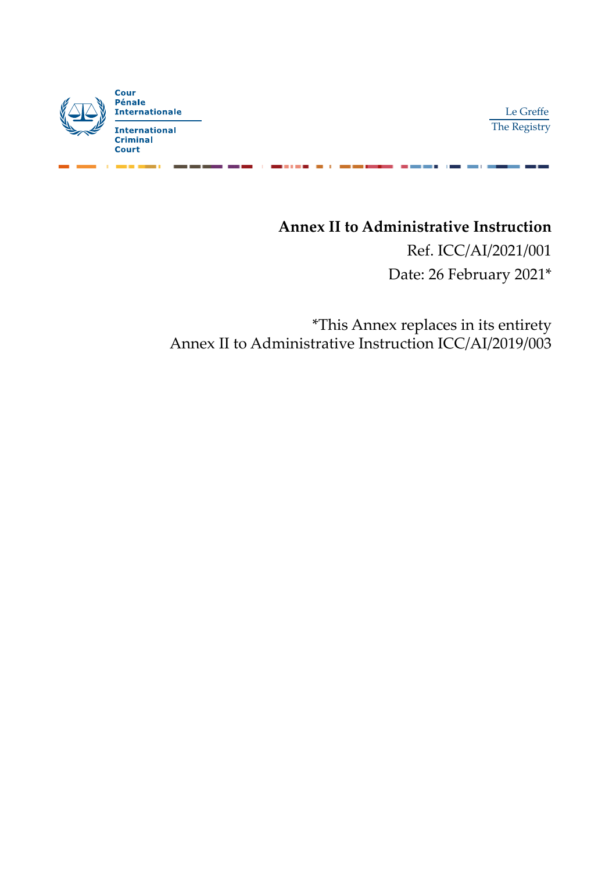

Le Greffe The Registry

## **Annex II to Administrative Instruction**

Ref. ICC/AI/2021/001 Date: 26 February 2021\*

\*This Annex replaces in its entirety Annex II to Administrative Instruction ICC/AI/2019/003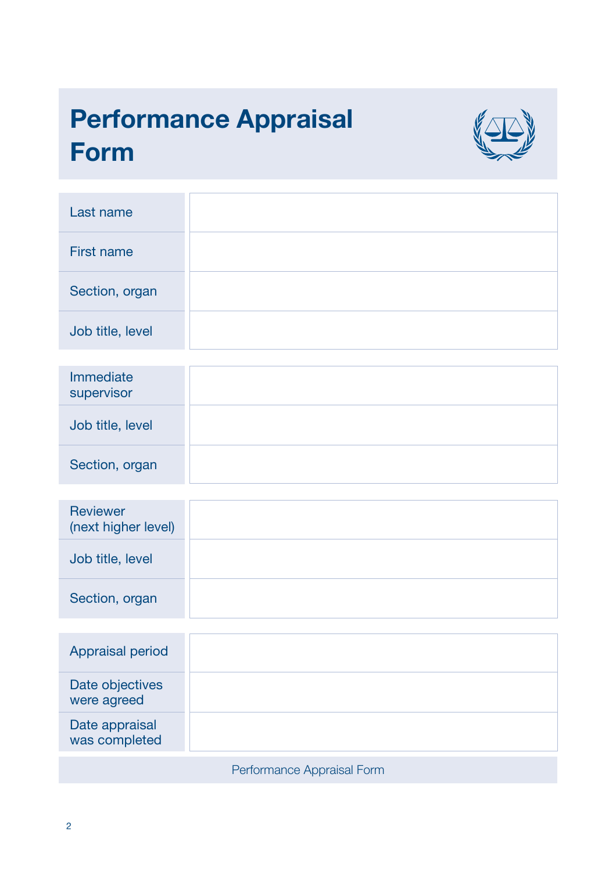# Performance Appraisal Form



| Last name                              |                            |
|----------------------------------------|----------------------------|
| <b>First name</b>                      |                            |
| Section, organ                         |                            |
| Job title, level                       |                            |
|                                        |                            |
| Immediate<br>supervisor                |                            |
| Job title, level                       |                            |
| Section, organ                         |                            |
|                                        |                            |
| <b>Reviewer</b><br>(next higher level) |                            |
| Job title, level                       |                            |
| Section, organ                         |                            |
|                                        |                            |
| Appraisal period                       |                            |
| Date objectives<br>were agreed         |                            |
| Date appraisal<br>was completed        |                            |
|                                        | Performance Appraisal Form |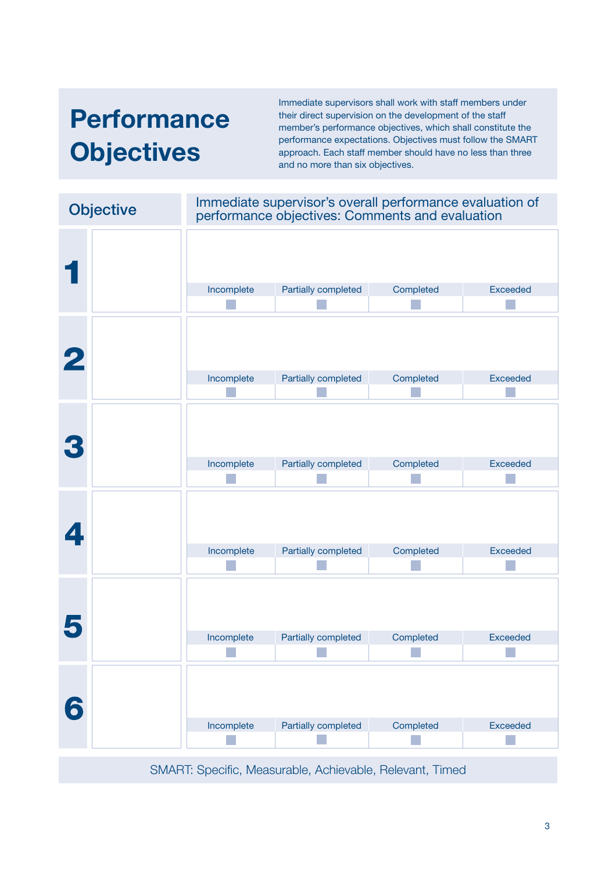# **Performance Objectives**

Immediate supervisors shall work with staff members under their direct supervision on the development of the staff member's performance objectives, which shall constitute the performance expectations. Objectives must follow the SMART approach. Each staff member should have no less than three and no more than six objectives.

| <b>Objective</b> |                                                          | Immediate supervisor's overall performance evaluation of<br>performance objectives: Comments and evaluation |           |                 |
|------------------|----------------------------------------------------------|-------------------------------------------------------------------------------------------------------------|-----------|-----------------|
|                  |                                                          |                                                                                                             |           |                 |
|                  | Incomplete                                               | Partially completed                                                                                         | Completed | <b>Exceeded</b> |
| $\bf{2}$         | Incomplete                                               | Partially completed                                                                                         | Completed | <b>Exceeded</b> |
| 3                | Incomplete                                               | Partially completed                                                                                         | Completed | <b>Exceeded</b> |
| 4                | Incomplete                                               | Partially completed                                                                                         | Completed | <b>Exceeded</b> |
| 5                | Incomplete                                               | Partially completed                                                                                         | Completed | <b>Exceeded</b> |
| 6                | Incomplete                                               | Partially completed                                                                                         | Completed | <b>Exceeded</b> |
|                  | SMART: Specific, Measurable, Achievable, Relevant, Timed |                                                                                                             |           |                 |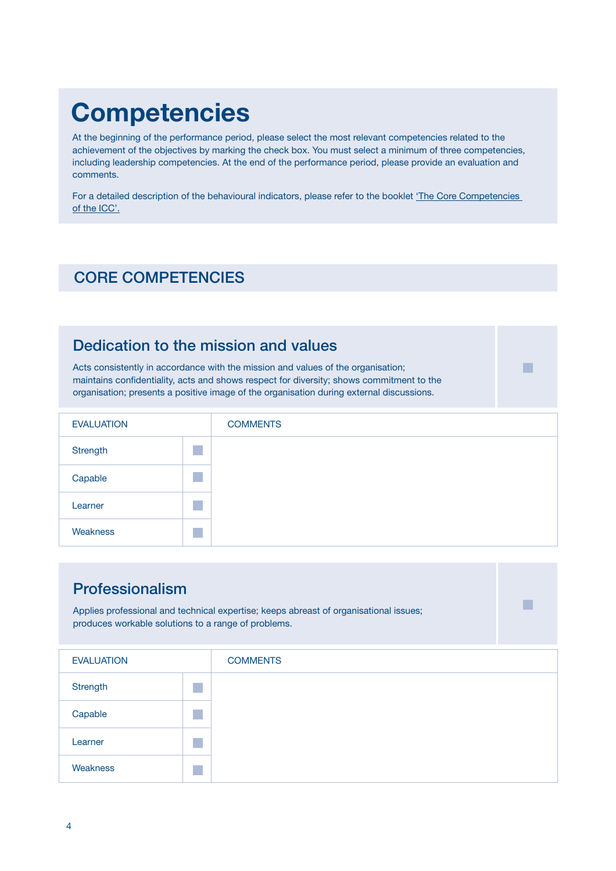## **Competencies**

At the beginning of the performance period, please select the most relevant competencies related to the achievement of the objectives by marking the check box. You must select a minimum of three competencies, including leadership competencies. At the end of the performance period, please provide an evaluation and comments.

For a detailed description of the behavioural indicators, please refer to the booklet 'The Core Competencies [of the ICC'.](https://www.icc-cpi.int/resource-library/Vademecum/Performance%20Appraisal%20System%20-%20Annex%201.PDF)

## CORE COMPETENCIES

### Dedication to the mission and values

Acts consistently in accordance with the mission and values of the organisation; maintains confidentiality, acts and shows respect for diversity; shows commitment to the organisation; presents a positive image of the organisation during external discussions.

| <b>EVALUATION</b> | <b>COMMENTS</b> |
|-------------------|-----------------|
| Strength          |                 |
| Capable           |                 |
| Learner           |                 |
| Weakness          |                 |

■

■

### Professionalism

Applies professional and technical expertise; keeps abreast of organisational issues; produces workable solutions to a range of problems.

| <b>EVALUATION</b> | <b>COMMENTS</b> |
|-------------------|-----------------|
| Strength          |                 |
| Capable           |                 |
| Learner           |                 |
| Weakness          |                 |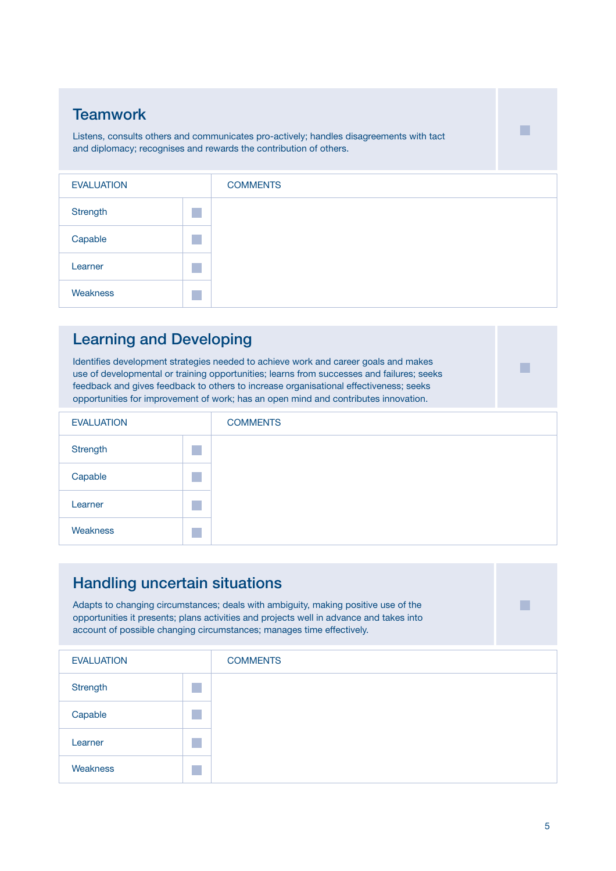### **Teamwork**

Listens, consults others and communicates pro-actively; handles disagreements with tact and diplomacy; recognises and rewards the contribution of others.

| <b>EVALUATION</b> | <b>COMMENTS</b> |
|-------------------|-----------------|
| Strength          |                 |
| Capable           |                 |
| Learner           |                 |
| Weakness          |                 |

### Learning and Developing

Identifies development strategies needed to achieve work and career goals and makes use of developmental or training opportunities; learns from successes and failures; seeks feedback and gives feedback to others to increase organisational effectiveness; seeks opportunities for improvement of work; has an open mind and contributes innovation.

| <b>EVALUATION</b> | <b>COMMENTS</b> |
|-------------------|-----------------|
| Strength          |                 |
| Capable           |                 |
| Learner           |                 |
| Weakness          |                 |

### Handling uncertain situations

Adapts to changing circumstances; deals with ambiguity, making positive use of the opportunities it presents; plans activities and projects well in advance and takes into account of possible changing circumstances; manages time effectively.

| <b>EVALUATION</b> | <b>COMMENTS</b> |
|-------------------|-----------------|
| Strength          |                 |
| Capable           |                 |
| Learner           |                 |
| Weakness          |                 |

■

■

■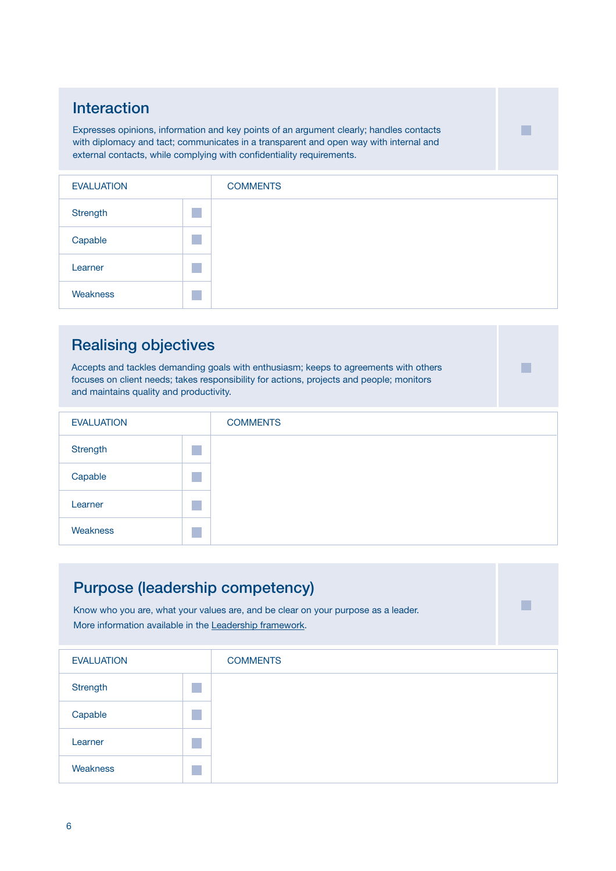## Interaction

Expresses opinions, information and key points of an argument clearly; handles contacts with diplomacy and tact; communicates in a transparent and open way with internal and external contacts, while complying with confidentiality requirements.

| <b>EVALUATION</b> | <b>COMMENTS</b> |
|-------------------|-----------------|
| Strength          |                 |
| Capable           |                 |
| Learner           |                 |
| Weakness          |                 |

■

■

## Realising objectives

Accepts and tackles demanding goals with enthusiasm; keeps to agreements with others focuses on client needs; takes responsibility for actions, projects and people; monitors and maintains quality and productivity.

| <b>EVALUATION</b> | <b>COMMENTS</b> |
|-------------------|-----------------|
| Strength          |                 |
| Capable           |                 |
| Learner           |                 |
| Weakness          |                 |

| <b>Purpose (leadership competency)</b><br>Know who you are, what your values are, and be clear on your purpose as a leader.<br>More information available in the Leadership framework. |  |                 |  |
|----------------------------------------------------------------------------------------------------------------------------------------------------------------------------------------|--|-----------------|--|
| <b>EVALUATION</b>                                                                                                                                                                      |  | <b>COMMENTS</b> |  |
| Strength                                                                                                                                                                               |  |                 |  |
| Capable                                                                                                                                                                                |  |                 |  |
| Learner                                                                                                                                                                                |  |                 |  |
| Weakness                                                                                                                                                                               |  |                 |  |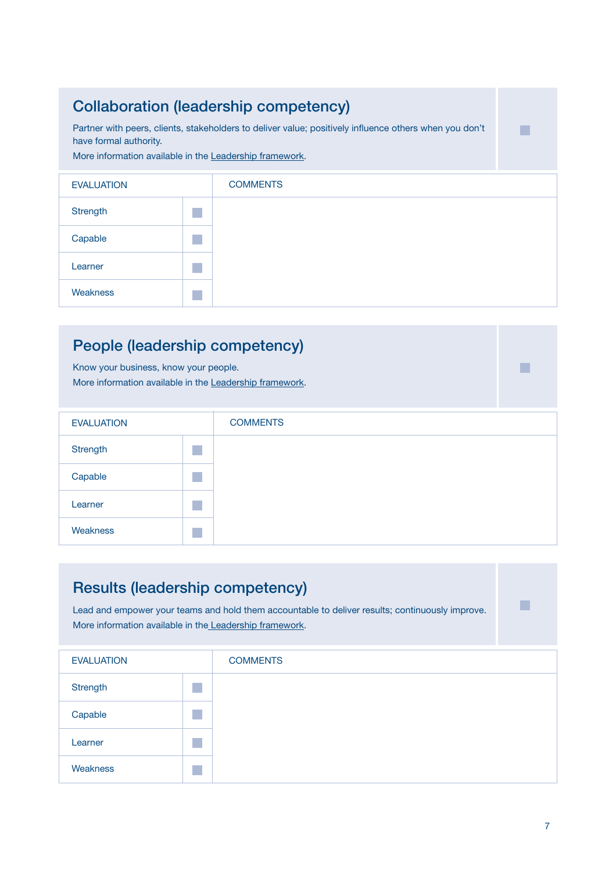## Collaboration (leadership competency)

Partner with peers, clients, stakeholders to deliver value; positively influence others when you don't have formal authority.

More information available in the [Leadership framework.](https://intranet.icc.int/registry/hrs/_layouts/15/WopiFrame.aspx?sourcedoc=%7BAD7D7853-ABB1-44A0-8440-5BC800DC6045%7D&file=ICC_LeadershipFramework_ENG.pdf&action=default)

| <b>EVALUATION</b> | <b>COMMENTS</b> |
|-------------------|-----------------|
| Strength          |                 |
| Capable           |                 |
| Learner           |                 |
| Weakness          |                 |

### People (leadership competency)

Know your business, know your people. More information available in the [Leadership framework.](https://intranet.icc.int/registry/hrs/_layouts/15/WopiFrame.aspx?sourcedoc=%7BAD7D7853-ABB1-44A0-8440-5BC800DC6045%7D&file=ICC_LeadershipFramework_ENG.pdf&action=default)

| <b>EVALUATION</b> | <b>COMMENTS</b> |
|-------------------|-----------------|
| Strength          |                 |
| Capable           |                 |
| Learner           |                 |
| Weakness          |                 |

#### Results (leadership competency) Lead and empower your teams and hold them accountable to deliver results; continuously improve. More information available in th[e Leadership framework.](https://intranet.icc.int/registry/hrs/_layouts/15/WopiFrame.aspx?sourcedoc=%7BAD7D7853-ABB1-44A0-8440-5BC800DC6045%7D&file=ICC_LeadershipFramework_ENG.pdf&action=default) EVALUATION **Strength Capable** Learner Weakness **COMMENTS** ■ ■ ■ ■ ■

■

■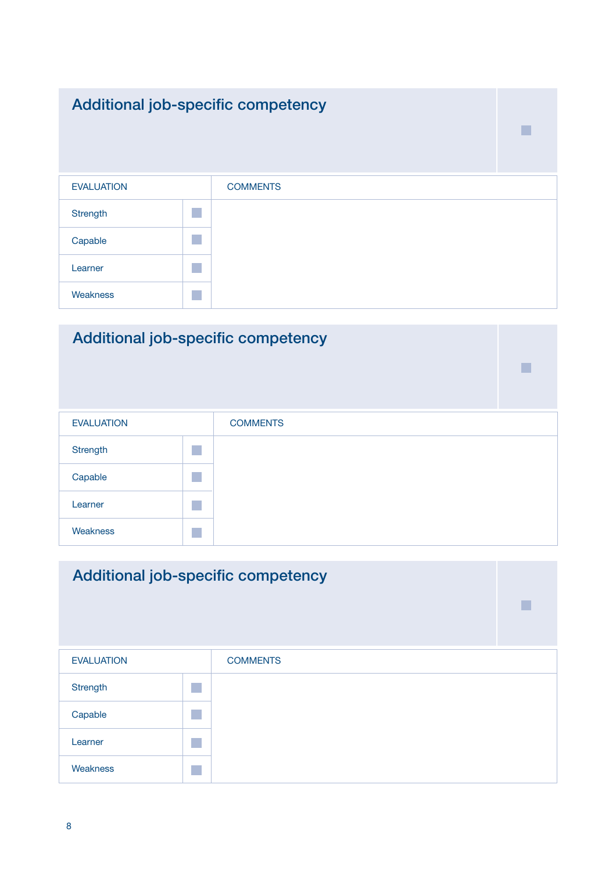## Additional job-specific competency

| <b>EVALUATION</b> |                        | <b>COMMENTS</b> |
|-------------------|------------------------|-----------------|
| Strength          |                        |                 |
| Capable           |                        |                 |
| Learner           |                        |                 |
| Weakness          | <b>Service Service</b> |                 |

■

■

## Additional job-specific competency

| <b>EVALUATION</b> | <b>COMMENTS</b> |
|-------------------|-----------------|
| Strength          |                 |
| Capable           |                 |
| Learner           |                 |
| Weakness          |                 |

## Additional job-specific competency EVALUATION **Strength** Capable Learner Weakness **COMMENTS** ■ ■ ■ ■ ■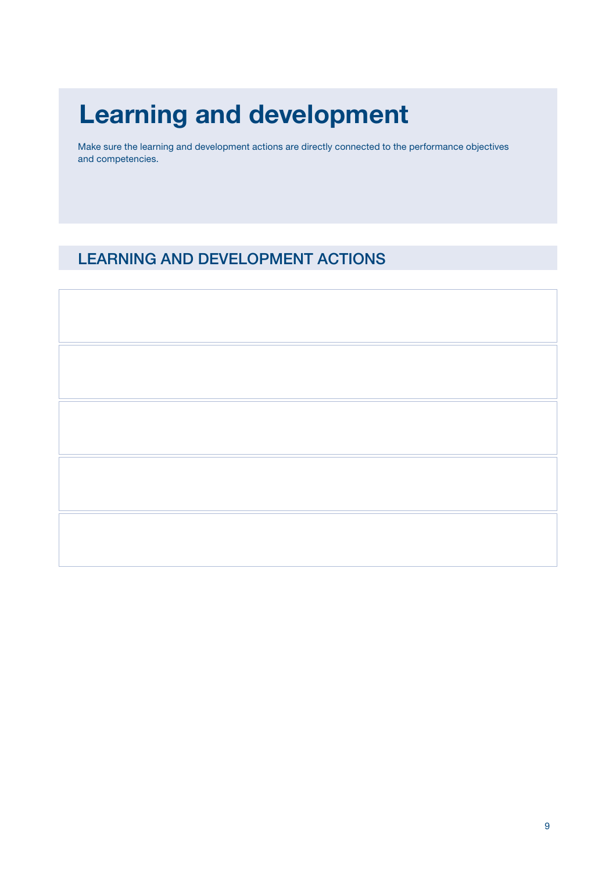# Learning and development

Make sure the learning and development actions are directly connected to the performance objectives and competencies.

## LEARNING AND DEVELOPMENT ACTIONS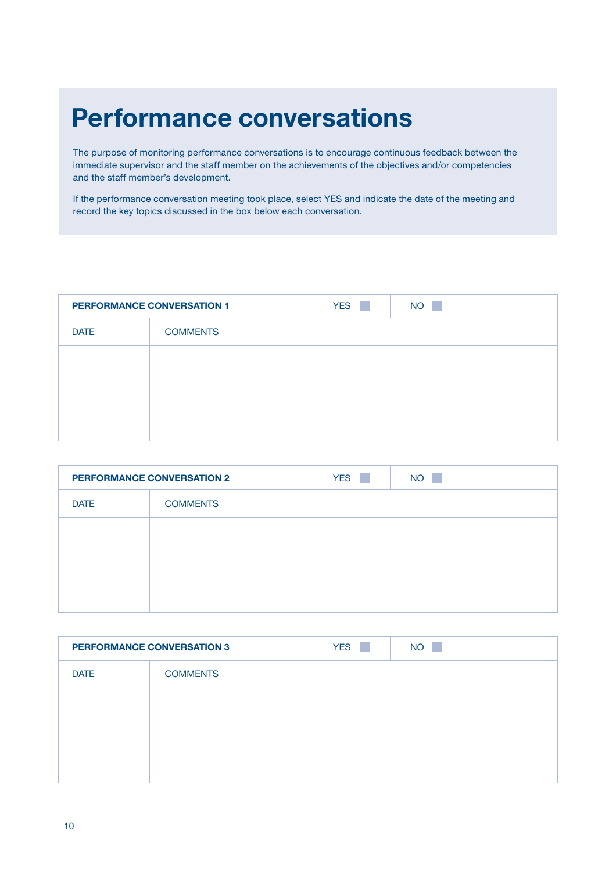## Performance conversations

The purpose of monitoring performance conversations is to encourage continuous feedback between the immediate supervisor and the staff member on the achievements of the objectives and/or competencies and the staff member's development.

If the performance conversation meeting took place, select YES and indicate the date of the meeting and record the key topics discussed in the box below each conversation.

| <b>PERFORMANCE CONVERSATION 1</b> |                 | <b>YES</b><br>t in | <b>NO</b><br>a s |
|-----------------------------------|-----------------|--------------------|------------------|
| <b>DATE</b>                       | <b>COMMENTS</b> |                    |                  |
|                                   |                 |                    |                  |
|                                   |                 |                    |                  |
|                                   |                 |                    |                  |
|                                   |                 |                    |                  |

| <b>PERFORMANCE CONVERSATION 2</b> |                 | <b>YES</b><br>P. | <b>NO</b><br>a pro |
|-----------------------------------|-----------------|------------------|--------------------|
| <b>DATE</b>                       | <b>COMMENTS</b> |                  |                    |
|                                   |                 |                  |                    |
|                                   |                 |                  |                    |
|                                   |                 |                  |                    |
|                                   |                 |                  |                    |

|             | <b>PERFORMANCE CONVERSATION 3</b> | <b>YES</b><br><b>The State</b> | <b>NO</b><br>a pro |
|-------------|-----------------------------------|--------------------------------|--------------------|
| <b>DATE</b> | <b>COMMENTS</b>                   |                                |                    |
|             |                                   |                                |                    |
|             |                                   |                                |                    |
|             |                                   |                                |                    |
|             |                                   |                                |                    |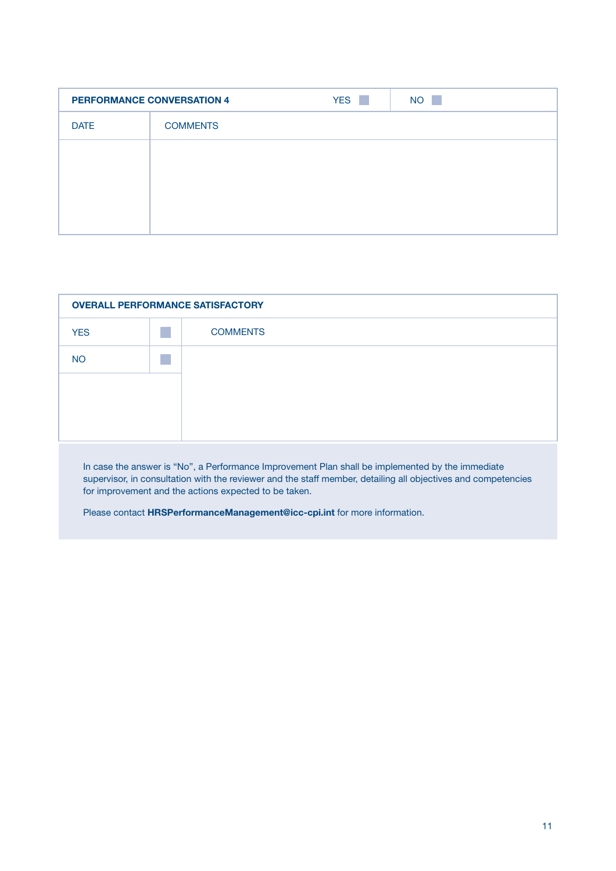| <b>PERFORMANCE CONVERSATION 4</b> |                 | <b>YES</b><br><b>College</b> | <b>NO</b><br>a s |
|-----------------------------------|-----------------|------------------------------|------------------|
| <b>DATE</b>                       | <b>COMMENTS</b> |                              |                  |
|                                   |                 |                              |                  |
|                                   |                 |                              |                  |
|                                   |                 |                              |                  |
|                                   |                 |                              |                  |

| <b>OVERALL PERFORMANCE SATISFACTORY</b> |  |                 |
|-----------------------------------------|--|-----------------|
| <b>YES</b>                              |  | <b>COMMENTS</b> |
| <b>NO</b>                               |  |                 |
|                                         |  |                 |
|                                         |  |                 |
|                                         |  |                 |

In case the answer is "No", a Performance Improvement Plan shall be implemented by the immediate supervisor, in consultation with the reviewer and the staff member, detailing all objectives and competencies for improvement and the actions expected to be taken.

Please contact [HRSPerformanceManagement@icc-cpi.int](mailto:HRSPerformanceManagement%40icc-cpi.int%20?subject=) for more information.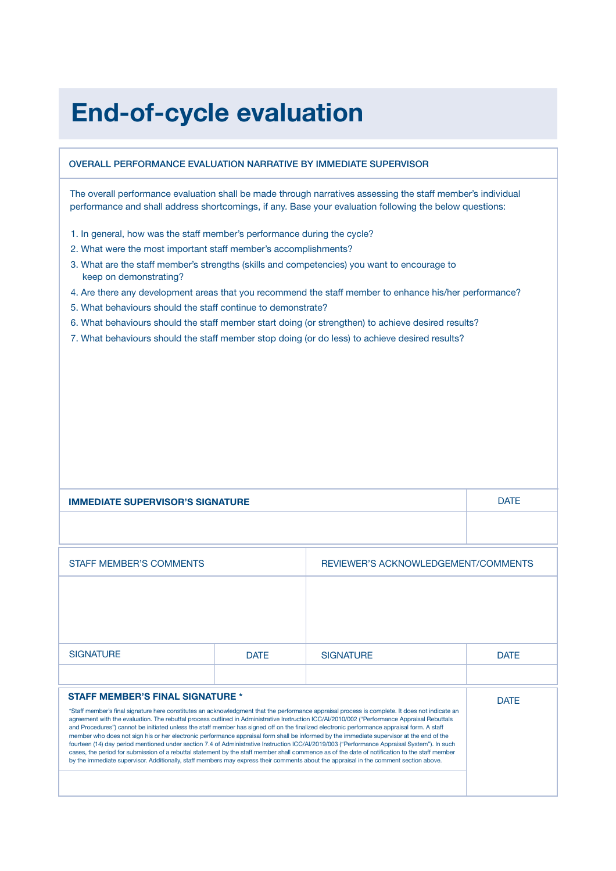## End-of-cycle evaluation

#### OVERALL PERFORMANCE EVALUATION NARRATIVE BY IMMEDIATE SUPERVISOR

The overall performance evaluation shall be made through narratives assessing the staff member's individual performance and shall address shortcomings, if any. Base your evaluation following the below questions:

- 1. In general, how was the staff member's performance during the cycle?
- 2. What were the most important staff member's accomplishments?
- 3. What are the staff member's strengths (skills and competencies) you want to encourage to keep on demonstrating?
- 4. Are there any development areas that you recommend the staff member to enhance his/her performance?
- 5. What behaviours should the staff continue to demonstrate?
- 6. What behaviours should the staff member start doing (or strengthen) to achieve desired results?
- 7. What behaviours should the staff member stop doing (or do less) to achieve desired results?

| <b>IMMEDIATE SUPERVISOR'S SIGNATURE</b>                                                                                                                                                                                                                                                                                                                                                                                                                                                                                                                                                                                                                                                                                                                                                                                                                                                                                                                                                                                                                                          |             |                                     | <b>DATF</b> |
|----------------------------------------------------------------------------------------------------------------------------------------------------------------------------------------------------------------------------------------------------------------------------------------------------------------------------------------------------------------------------------------------------------------------------------------------------------------------------------------------------------------------------------------------------------------------------------------------------------------------------------------------------------------------------------------------------------------------------------------------------------------------------------------------------------------------------------------------------------------------------------------------------------------------------------------------------------------------------------------------------------------------------------------------------------------------------------|-------------|-------------------------------------|-------------|
|                                                                                                                                                                                                                                                                                                                                                                                                                                                                                                                                                                                                                                                                                                                                                                                                                                                                                                                                                                                                                                                                                  |             |                                     |             |
| <b>STAFF MEMBER'S COMMENTS</b>                                                                                                                                                                                                                                                                                                                                                                                                                                                                                                                                                                                                                                                                                                                                                                                                                                                                                                                                                                                                                                                   |             | REVIEWER'S ACKNOWLEDGEMENT/COMMENTS |             |
|                                                                                                                                                                                                                                                                                                                                                                                                                                                                                                                                                                                                                                                                                                                                                                                                                                                                                                                                                                                                                                                                                  |             |                                     |             |
|                                                                                                                                                                                                                                                                                                                                                                                                                                                                                                                                                                                                                                                                                                                                                                                                                                                                                                                                                                                                                                                                                  |             |                                     |             |
| <b>SIGNATURE</b>                                                                                                                                                                                                                                                                                                                                                                                                                                                                                                                                                                                                                                                                                                                                                                                                                                                                                                                                                                                                                                                                 | <b>DATF</b> | <b>SIGNATURE</b>                    | <b>DATF</b> |
|                                                                                                                                                                                                                                                                                                                                                                                                                                                                                                                                                                                                                                                                                                                                                                                                                                                                                                                                                                                                                                                                                  |             |                                     |             |
| <b>STAFF MEMBER'S FINAL SIGNATURE *</b><br>*Staff member's final signature here constitutes an acknowledgment that the performance appraisal process is complete. It does not indicate an<br>agreement with the evaluation. The rebuttal process outlined in Administrative Instruction ICC/AI/2010/002 ("Performance Appraisal Rebuttals<br>and Procedures") cannot be initiated unless the staff member has signed off on the finalized electronic performance appraisal form. A staff<br>member who does not sign his or her electronic performance appraisal form shall be informed by the immediate supervisor at the end of the<br>fourteen (14) day period mentioned under section 7.4 of Administrative Instruction ICC/AI/2019/003 ("Performance Appraisal System"). In such<br>cases, the period for submission of a rebuttal statement by the staff member shall commence as of the date of notification to the staff member<br>by the immediate supervisor. Additionally, staff members may express their comments about the appraisal in the comment section above. |             |                                     | <b>DATF</b> |